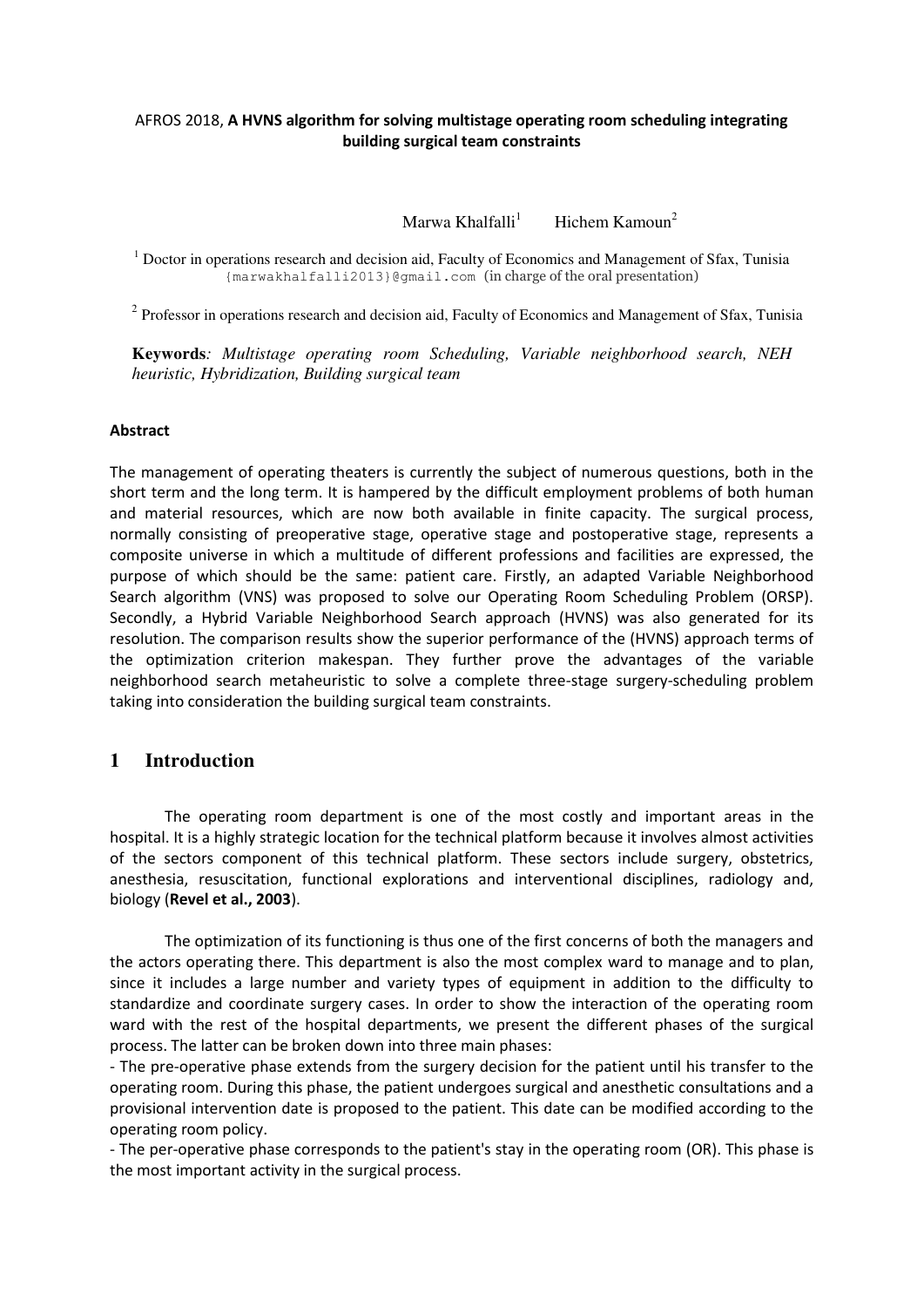## AFROS 2018, **A HVNS algorithm for solving multistage operating room scheduling integrating building surgical team constraints**

Marwa Khalfalli<sup>1</sup> Hichem Kamoun<sup>2</sup>

<sup>1</sup> Doctor in operations research and decision aid, Faculty of Economics and Management of Sfax, Tunisia {marwakhalfalli2013}@gmail.com (in charge of the oral presentation)

 $2$  Professor in operations research and decision aid, Faculty of Economics and Management of Sfax, Tunisia

**Keywords***: Multistage operating room Scheduling, Variable neighborhood search, NEH heuristic, Hybridization, Building surgical team* 

## **Abstract**

The management of operating theaters is currently the subject of numerous questions, both in the short term and the long term. It is hampered by the difficult employment problems of both human and material resources, which are now both available in finite capacity. The surgical process, normally consisting of preoperative stage, operative stage and postoperative stage, represents a composite universe in which a multitude of different professions and facilities are expressed, the purpose of which should be the same: patient care. Firstly, an adapted Variable Neighborhood Search algorithm (VNS) was proposed to solve our Operating Room Scheduling Problem (ORSP). Secondly, a Hybrid Variable Neighborhood Search approach (HVNS) was also generated for its resolution. The comparison results show the superior performance of the (HVNS) approach terms of the optimization criterion makespan. They further prove the advantages of the variable neighborhood search metaheuristic to solve a complete three-stage surgery-scheduling problem taking into consideration the building surgical team constraints.

## **1 Introduction**

The operating room department is one of the most costly and important areas in the hospital. It is a highly strategic location for the technical platform because it involves almost activities of the sectors component of this technical platform. These sectors include surgery, obstetrics, anesthesia, resuscitation, functional explorations and interventional disciplines, radiology and, biology (**Revel et al., 2003**).

The optimization of its functioning is thus one of the first concerns of both the managers and the actors operating there. This department is also the most complex ward to manage and to plan, since it includes a large number and variety types of equipment in addition to the difficulty to standardize and coordinate surgery cases. In order to show the interaction of the operating room ward with the rest of the hospital departments, we present the different phases of the surgical process. The latter can be broken down into three main phases:

- The pre-operative phase extends from the surgery decision for the patient until his transfer to the operating room. During this phase, the patient undergoes surgical and anesthetic consultations and a provisional intervention date is proposed to the patient. This date can be modified according to the operating room policy.

- The per-operative phase corresponds to the patient's stay in the operating room (OR). This phase is the most important activity in the surgical process.